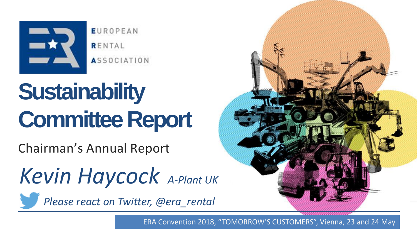

**EUROPEAN** RENTAL **ASSOCIATION** 

# **Sustainability Committee Report**

Chairman's Annual Report

*Kevin Haycock A-Plant UK*

<span id="page-0-0"></span>*Please react on Twitter, @era\_rental*

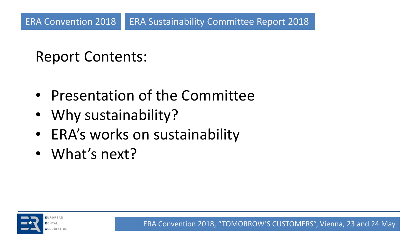## Report Contents:

- Presentation of the Committee
- Why sustainability?
- ERA's works on sustainability
- What's next?

<span id="page-1-0"></span>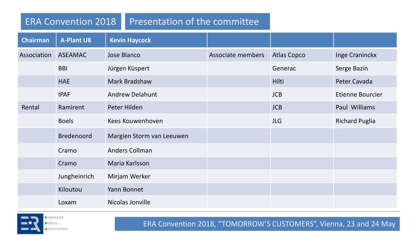#### ERA Convention 2018 Presentation of the committee

| <b>Chairman</b> | <b>A-Plant UK</b> | <b>Kevin Haycock</b>      |                   |                    |                         |
|-----------------|-------------------|---------------------------|-------------------|--------------------|-------------------------|
| Association     | <b>ASEAMAC</b>    | Jose Blanco               | Associate members | <b>Atlas Copco</b> | Inge Craninckx          |
|                 | <b>BBI</b>        | Jürgen Küspert            |                   | Generac            | Serge Bazin             |
|                 | <b>HAE</b>        | Mark Bradshaw             |                   | Hilti              | Peter Cavada            |
|                 | <b>IPAF</b>       | <b>Andrew Delahunt</b>    |                   | <b>JCB</b>         | <b>Etienne Bourcier</b> |
| Rental          | Ramirent          | Peter Hilden              |                   | <b>JCB</b>         | Paul Williams           |
|                 | <b>Boels</b>      | Kees Kouwenhoven          |                   | <b>JLG</b>         | <b>Richard Puglia</b>   |
|                 | <b>Bredenoord</b> | Margien Storm van Leeuwen |                   |                    |                         |
|                 | Cramo             | <b>Anders Collman</b>     |                   |                    |                         |
|                 | Cramo             | Maria Karlsson            |                   |                    |                         |
|                 | Jungheinrich      | Mirjam Werker             |                   |                    |                         |
|                 | Kiloutou          | Yann Bonnet               |                   |                    |                         |
|                 | Loxam             | Nicolas Jonville          |                   |                    |                         |

<span id="page-2-0"></span>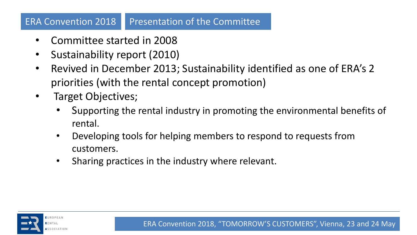#### ERA Convention 2018 Presentation of the Committee

- Committee started in 2008
- Sustainability report (2010)
- Revived in December 2013; Sustainability identified as one of ERA's 2 priorities (with the rental concept promotion)
- Target Objectives;
	- Supporting the rental industry in promoting the environmental benefits of rental.
	- Developing tools for helping members to respond to requests from customers.
	- Sharing practices in the industry where relevant.

<span id="page-3-0"></span>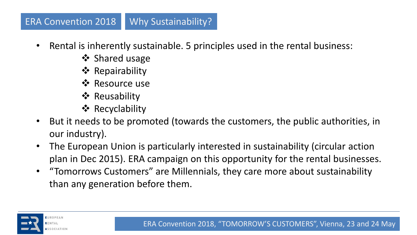#### ERA Convention 2018 Why Sustainability?

- Rental is inherently sustainable. 5 principles used in the rental business:
	- ❖ Shared usage
	- ❖ Repairability
	- **☆** Resource use
	- **❖ Reusability**
	- **❖ Recyclability**
- But it needs to be promoted (towards the customers, the public authorities, in our industry).
- The European Union is particularly interested in sustainability (circular action plan in Dec 2015). ERA campaign on this opportunity for the rental businesses.
- "Tomorrows Customers" are Millennials, they care more about sustainability than any generation before them.

<span id="page-4-0"></span>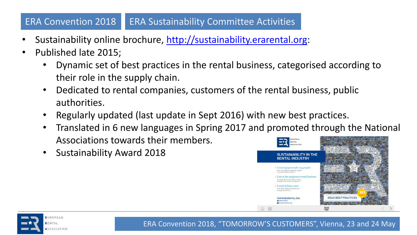#### ERA Convention 2018 ERA Sustainability Committee Activities

- Sustainability online brochure, [http://sustainability.erarental.org](http://sustainability.erarental.org/):
- Published late 2015;
	- Dynamic set of best practices in the rental business, categorised according to their role in the supply chain.
	- Dedicated to rental companies, customers of the rental business, public authorities.
	- Regularly updated (last update in Sept 2016) with new best practices.
	- Translated in 6 new languages in Spring 2017 and promoted through the National Associations towards their members.
	- Sustainability Award 2018



<span id="page-5-0"></span>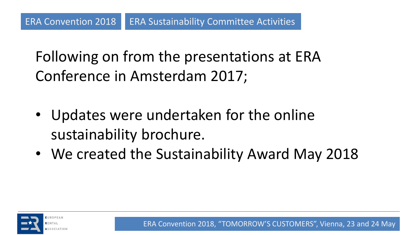Following on from the presentations at ERA Conference in Amsterdam 2017;

- Updates were undertaken for the online sustainability brochure.
- We created the Sustainability Award May 2018

<span id="page-6-0"></span>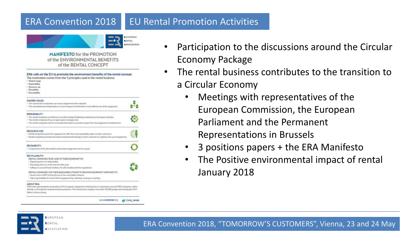#### ERA Convention 2018 EU Rental Promotion Activities

### **BUNYAL** ESOCIATION **MANIFESTO for the PROMOTION**

of the ENVIRONMENTAL BENEFITS of the RENTAL CONCEPT

| ERA calls on the EU to promote the environment benefits of the rental concept.<br>The motivation comes from the 5 principles used in the rental business:<br>· Shared usage<br>· Repotrability<br>- Resource use<br>· Reusability<br>· Recyclobility                                           |  |
|------------------------------------------------------------------------------------------------------------------------------------------------------------------------------------------------------------------------------------------------------------------------------------------------|--|
| <b>SHARED USAGE:</b><br>· The construction companies can access equipment when required.<br>. The centralised awnership leads to a more frequent and therefore more efficient use of the equipment.                                                                                            |  |
| REPAIRABILITY:<br>. The rental componers contribute to a product design facilitating maintenance and repair activities.<br>- The rental comportes focus on spare parts management.<br>. The rental companies ask for increased information on product repair from the equipment manufacturers. |  |
| <b>RESOURCE USE:</b><br>+ Rental comparess search for equipment to offer the most sustainable option to their outcomers.<br>. Rental companies provide theoretical and proctical trainings to their customers to optimise the use of equipment.                                                |  |
| REUSABILITY:<br>· Components of the dismantiled construction equipment can be reused.                                                                                                                                                                                                          |  |
| RECYCLABILITY:<br>RENTAL COMPANIES TAKE CARE OF THEIR EQUIPMENT BY:<br>· Repairing when it is still possible.<br>. Recycling when it is at the end of its life cycle.<br>· Selling it to second hand markets, if it still comples with the regulations.                                        |  |
| RENTAL COMPANIES USE THEIR BARGAINING POWER TO DEMAND EQUIPMENT SUPPLIERS TO:<br>· Invest more in RSD to limit the use of non-recycloble material.<br>. Take responsibility for end-of-life of equipment by collecting, reusing or recycling.                                                  |  |
| <b>ABOUT FRA</b><br>ERA ts the representative association of the European equipment rental business. It represents around 5,000 companies, either<br>directly or through the national rental associations. This rental sector employs more than 120,000 people and contributes E24.5           |  |

www.erarental.org volera\_rental

- Participation to the discussions around the Circular Economy Package
- The rental business contributes to the transition to a Circular Economy
	- Meetings with representatives of the European Commission, the European Parliament and the Permanent Representations in Brussels
	- 3 positions papers + the ERA Manifesto
	- The Positive environmental impact of rental January 2018

<span id="page-7-0"></span>

UROPEAN **SSOCIATION**